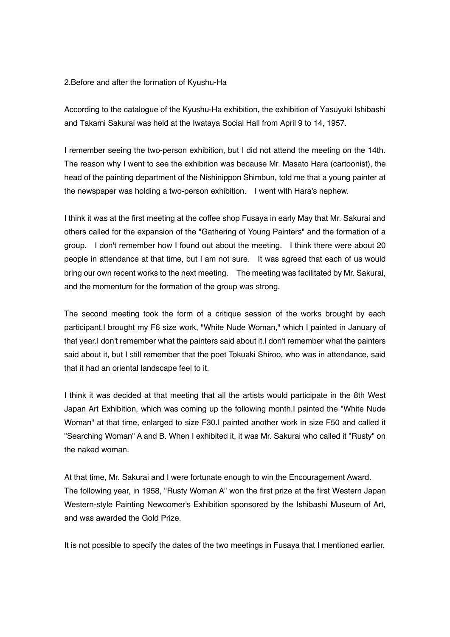## 2.Before and after the formation of Kyushu-Ha

According to the catalogue of the Kyushu-Ha exhibition, the exhibition of Yasuyuki Ishibashi and Takami Sakurai was held at the Iwataya Social Hall from April 9 to 14, 1957.

I remember seeing the two-person exhibition, but I did not attend the meeting on the 14th. The reason why I went to see the exhibition was because Mr. Masato Hara (cartoonist), the head of the painting department of the Nishinippon Shimbun, told me that a young painter at the newspaper was holding a two-person exhibition. I went with Hara's nephew.

I think it was at the first meeting at the coffee shop Fusaya in early May that Mr. Sakurai and others called for the expansion of the "Gathering of Young Painters" and the formation of a group. I don't remember how I found out about the meeting. I think there were about 20 people in attendance at that time, but I am not sure. It was agreed that each of us would bring our own recent works to the next meeting. The meeting was facilitated by Mr. Sakurai, and the momentum for the formation of the group was strong.

The second meeting took the form of a critique session of the works brought by each participant.I brought my F6 size work, "White Nude Woman," which I painted in January of that year.I don't remember what the painters said about it.I don't remember what the painters said about it, but I still remember that the poet Tokuaki Shiroo, who was in attendance, said that it had an oriental landscape feel to it.

I think it was decided at that meeting that all the artists would participate in the 8th West Japan Art Exhibition, which was coming up the following month.I painted the "White Nude Woman" at that time, enlarged to size F30.I painted another work in size F50 and called it "Searching Woman" A and B. When I exhibited it, it was Mr. Sakurai who called it "Rusty" on the naked woman.

At that time, Mr. Sakurai and I were fortunate enough to win the Encouragement Award. The following year, in 1958, "Rusty Woman A" won the first prize at the first Western Japan Western-style Painting Newcomer's Exhibition sponsored by the Ishibashi Museum of Art, and was awarded the Gold Prize.

It is not possible to specify the dates of the two meetings in Fusaya that I mentioned earlier.